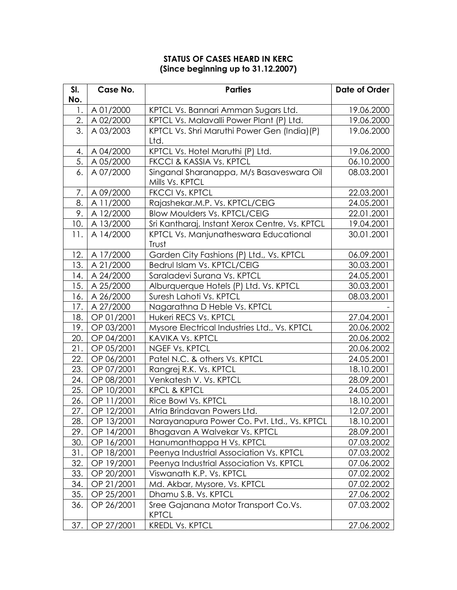## **STATUS OF CASES HEARD IN KERC (Since beginning up to 31.12.2007)**

| SI. | Case No.        | <b>Parties</b>                                 | Date of Order |
|-----|-----------------|------------------------------------------------|---------------|
| No. |                 |                                                |               |
| 1.  | A 01/2000       | KPTCL Vs. Bannari Amman Sugars Ltd.            | 19.06.2000    |
| 2.  | A 02/2000       | KPTCL Vs. Malavalli Power Plant (P) Ltd.       | 19.06.2000    |
| 3.  | A 03/2003       | KPTCL Vs. Shri Maruthi Power Gen (India)(P)    | 19.06.2000    |
|     |                 | Ltd.                                           |               |
| 4.  | A 04/2000       | KPTCL Vs. Hotel Maruthi (P) Ltd.               | 19.06.2000    |
| 5.  | A 05/2000       | FKCCI & KASSIA Vs. KPTCL                       | 06.10.2000    |
| 6.  | A 07/2000       | Singanal Sharanappa, M/s Basaveswara Oil       | 08.03.2001    |
|     |                 | Mills Vs. KPTCL                                |               |
| 7.  | A 09/2000       | <b>FKCCI Vs. KPTCL</b>                         | 22.03.2001    |
| 8.  | A 11/2000       | Rajashekar.M.P. Vs. KPTCL/CEIG                 | 24.05.2001    |
| 9.  | A 12/2000       | <b>Blow Moulders Vs. KPTCL/CEIG</b>            | 22.01.2001    |
|     | 10.   A 13/2000 | Sri Kantharaj, Instant Xerox Centre, Vs. KPTCL | 19.04.2001    |
| 11. | A 14/2000       | KPTCL Vs. Manjunatheswara Educational          | 30.01.2001    |
|     |                 | Trust                                          |               |
| 12. | A 17/2000       | Garden City Fashions (P) Ltd., Vs. KPTCL       | 06.09.2001    |
| 13. | A 21/2000       | Bedrul Islam Vs. KPTCL/CEIG                    | 30.03.2001    |
| 14. | A 24/2000       | Saraladevi Surana Vs. KPTCL                    | 24.05.2001    |
| 15. | A 25/2000       | Alburquerque Hotels (P) Ltd. Vs. KPTCL         | 30.03.2001    |
| 16. | A 26/2000       | Suresh Lahoti Vs. KPTCL                        | 08.03.2001    |
| 17. | A 27/2000       | Nagarathna D Heble Vs. KPTCL                   |               |
| 18. | OP 01/2001      | Hukeri RECS Vs. KPTCL                          | 27.04.2001    |
| 19. | OP 03/2001      | Mysore Electrical Industries Ltd., Vs. KPTCL   | 20.06.2002    |
| 20. | OP 04/2001      | <b>KAVIKA Vs. KPTCL</b>                        | 20.06.2002    |
| 21. | OP 05/2001      | <b>NGEF Vs. KPTCL</b>                          | 20.06.2002    |
| 22. | OP 06/2001      | Patel N.C. & others Vs. KPTCL                  | 24.05.2001    |
| 23. | OP 07/2001      | Rangrej R.K. Vs. KPTCL                         | 18.10.2001    |
| 24. | OP 08/2001      | Venkatesh V. Vs. KPTCL                         | 28.09.2001    |
| 25. | OP 10/2001      | <b>KPCL &amp; KPTCL</b>                        | 24.05.2001    |
| 26. | OP 11/2001      | Rice Bowl Vs. KPTCL                            | 18.10.2001    |
| 27. | OP 12/2001      | Atria Brindavan Powers Ltd.                    | 12.07.2001    |
| 28. | OP 13/2001      | Narayanapura Power Co. Pvt. Ltd., Vs. KPTCL    | 18.10.2001    |
| 29. | OP 14/2001      | Bhagavan A Walvekar Vs. KPTCL                  | 28.09.2001    |
| 30. | OP 16/2001      | Hanumanthappa H Vs. KPTCL                      | 07.03.2002    |
| 31. | OP 18/2001      | Peenya Industrial Association Vs. KPTCL        | 07.03.2002    |
| 32. | OP 19/2001      | Peenya Industrial Association Vs. KPTCL        | 07.06.2002    |
| 33. | OP 20/2001      | Viswanath K.P. Vs. KPTCL                       | 07.02.2002    |
| 34. | OP 21/2001      | Md. Akbar, Mysore, Vs. KPTCL                   | 07.02.2002    |
| 35. | OP 25/2001      | Dhamu S.B. Vs. KPTCL                           | 27.06.2002    |
| 36. | OP 26/2001      | Sree Gajanana Motor Transport Co.Vs.           | 07.03.2002    |
|     |                 | <b>KPTCL</b>                                   |               |
| 37. | OP 27/2001      | <b>KREDL Vs. KPTCL</b>                         | 27.06.2002    |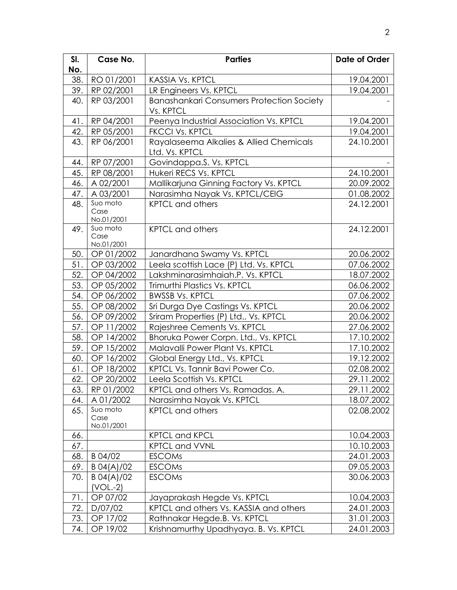| SI.        | Case No.                              | <b>Parties</b>                                               | Date of Order            |
|------------|---------------------------------------|--------------------------------------------------------------|--------------------------|
| No.        |                                       |                                                              |                          |
| 38.        | RO 01/2001                            | <b>KASSIA Vs. KPTCL</b>                                      | 19.04.2001               |
| 39.        | RP 02/2001                            | LR Engineers Vs. KPTCL                                       | 19.04.2001               |
| 40.        | RP 03/2001                            | <b>Banashankari Consumers Protection Society</b>             |                          |
|            |                                       | Vs. KPTCL                                                    |                          |
| 41.        | RP 04/2001                            | Peenya Industrial Association Vs. KPTCL                      | 19.04.2001               |
| 42.        | RP 05/2001                            | <b>FKCCI Vs. KPTCL</b>                                       | 19.04.2001               |
| 43.        | RP 06/2001                            | Rayalaseema Alkalies & Allied Chemicals                      | 24.10.2001               |
|            |                                       | Ltd. Vs. KPTCL                                               |                          |
| 44.        | RP 07/2001                            | Govindappa.S. Vs. KPTCL                                      |                          |
| 45.        | RP 08/2001                            | Hukeri RECS Vs. KPTCL                                        | 24.10.2001               |
| 46.        | A 02/2001                             | Mallikarjuna Ginning Factory Vs. KPTCL                       | 20.09.2002               |
| 47.        | A 03/2001                             | Narasimha Nayak Vs. KPTCL/CEIG                               | 01.08.2002               |
| 48.        | $\overline{\text{S}}$ uo moto<br>Case | <b>KPTCL and others</b>                                      | 24.12.2001               |
|            | No.01/2001                            |                                                              |                          |
| 49.        | Suo moto                              | <b>KPTCL and others</b>                                      | 24.12.2001               |
|            | Case                                  |                                                              |                          |
|            | No.01/2001                            |                                                              |                          |
| 50.        | OP 01/2002                            | Janardhana Swamy Vs. KPTCL                                   | 20.06.2002               |
| 51.        | OP 03/2002                            | Leela scottish Lace (P) Ltd. Vs. KPTCL                       | 07.06.2002               |
| 52.        | OP 04/2002                            | Lakshminarasimhaiah.P. Vs. KPTCL                             | 18.07.2002               |
| 53.        | OP 05/2002                            | Trimurthi Plastics Vs. KPTCL                                 | 06.06.2002               |
| 54.        | OP 06/2002                            | <b>BWSSB Vs. KPTCL</b>                                       | 07.06.2002               |
| 55.        | OP 08/2002                            | Sri Durga Dye Castings Vs. KPTCL                             | 20.06.2002               |
| 56.        | OP 09/2002                            | Sriram Properties (P) Ltd., Vs. KPTCL                        | 20.06.2002               |
| 57.        | OP 11/2002                            | Rajeshree Cements Vs. KPTCL                                  | 27.06.2002               |
| 58.        | OP 14/2002                            | Bhoruka Power Corpn. Ltd., Vs. KPTCL                         | 17.10.2002               |
| 59.        | OP 15/2002                            | Malavalli Power Plant Vs. KPTCL                              | 17.10.2002               |
| 60.        | OP 16/2002                            | Global Energy Ltd., Vs. KPTCL                                | 19.12.2002               |
| 61.<br>62. | OP 18/2002<br>OP 20/2002              | KPTCL Vs. Tannir Bavi Power Co.                              | 02.08.2002<br>29.11.2002 |
| 63.        | RP 01/2002                            | Leela Scottish Vs. KPTCL<br>KPTCL and others Vs. Ramadas. A. |                          |
|            | A 01/2002                             |                                                              | 29.11.2002               |
| 64.<br>65. | Suo moto                              | Narasimha Nayak Vs. KPTCL<br><b>KPTCL and others</b>         | 18.07.2002<br>02.08.2002 |
|            | Case                                  |                                                              |                          |
|            | No.01/2001                            |                                                              |                          |
| 66.        |                                       | <b>KPTCL and KPCL</b>                                        | 10.04.2003               |
| 67.        |                                       | <b>KPTCL and VVNL</b>                                        | 10.10.2003               |
| 68.        | B 04/02                               | <b>ESCOMs</b>                                                | 24.01.2003               |
| 69.        | B 04(A)/02                            | <b>ESCOMs</b>                                                | 09.05.2003               |
| 70.        | B 04(A)/02                            | <b>ESCOMs</b>                                                | 30.06.2003               |
|            | $(VOL.-2)$                            |                                                              |                          |
| 71.        | OP 07/02                              | Jayaprakash Hegde Vs. KPTCL                                  | 10.04.2003               |
| 72.        | D/07/02                               | KPTCL and others Vs. KASSIA and others                       | 24.01.2003               |
| 73.        | OP 17/02                              | Rathnakar Hegde.B. Vs. KPTCL                                 | 31.01.2003               |
| 74.        | OP 19/02                              | Krishnamurthy Upadhyaya. B. Vs. KPTCL                        | 24.01.2003               |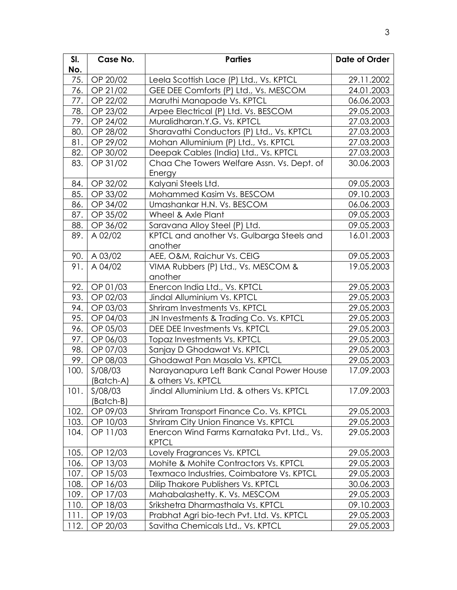| SI.  | Case No.  | <b>Parties</b>                              | Date of Order |
|------|-----------|---------------------------------------------|---------------|
| No.  |           |                                             |               |
| 75.  | OP 20/02  | Leela Scottish Lace (P) Ltd., Vs. KPTCL     | 29.11.2002    |
| 76.  | OP 21/02  | GEE DEE Comforts (P) Ltd., Vs. MESCOM       | 24.01.2003    |
| 77.  | OP 22/02  | Maruthi Manapade Vs. KPTCL                  | 06.06.2003    |
| 78.  | OP 23/02  | Arpee Electrical (P) Ltd. Vs. BESCOM        | 29.05.2003    |
| 79.  | OP 24/02  | Muralidharan.Y.G. Vs. KPTCL                 | 27.03.2003    |
| 80.1 | OP 28/02  | Sharavathi Conductors (P) Ltd., Vs. KPTCL   | 27.03.2003    |
| 81.  | OP 29/02  | Mohan Alluminium (P) Ltd., Vs. KPTCL        | 27.03.2003    |
| 82.  | OP 30/02  | Deepak Cables (India) Ltd., Vs. KPTCL       | 27.03.2003    |
| 83.  | OP 31/02  | Chaa Che Towers Welfare Assn. Vs. Dept. of  | 30.06.2003    |
|      |           | Energy                                      |               |
| 84.  | OP 32/02  | Kalyani Steels Ltd.                         | 09.05.2003    |
| 85.  | OP 33/02  | Mohammed Kasim Vs. BESCOM                   | 09.10.2003    |
| 86.  | OP 34/02  | Umashankar H.N. Vs. BESCOM                  | 06.06.2003    |
| 87.  | OP 35/02  | Wheel & Axle Plant                          | 09.05.2003    |
| 88.  | OP 36/02  | Saravana Alloy Steel (P) Ltd.               | 09.05.2003    |
| 89.  | A 02/02   | KPTCL and another Vs. Gulbarga Steels and   | 16.01.2003    |
|      |           | another                                     |               |
| 90.  | A 03/02   | AEE, O&M, Raichur Vs. CEIG                  | 09.05.2003    |
| 91.  | A 04/02   | VIMA Rubbers (P) Ltd., Vs. MESCOM &         | 19.05.2003    |
|      |           | another                                     |               |
| 92.  | OP 01/03  | Enercon India Ltd., Vs. KPTCL               | 29.05.2003    |
| 93.  | OP 02/03  | Jindal Alluminium Vs. KPTCL                 | 29.05.2003    |
| 94.  | OP 03/03  | Shriram Investments Vs. KPTCL               | 29.05.2003    |
| 95.  | OP 04/03  | JN Investments & Trading Co. Vs. KPTCL      | 29.05.2003    |
| 96.  | OP 05/03  | DEE DEE Investments Vs. KPTCL               | 29.05.2003    |
| 97.  | OP 06/03  | Topaz Investments Vs. KPTCL                 | 29.05.2003    |
| 98.  | OP 07/03  | Sanjay D Ghodawat Vs. KPTCL                 | 29.05.2003    |
| 99.1 | OP 08/03  | Ghodawat Pan Masala Vs. KPTCL               | 29.05.2003    |
| 100. | S/08/03   | Narayanapura Left Bank Canal Power House    | 17.09.2003    |
|      | (Batch-A) | & others Vs. KPTCL                          |               |
| 101. | S/08/03   | Jindal Alluminium Ltd. & others Vs. KPTCL   | 17.09.2003    |
|      | (Batch-B) |                                             |               |
| 102. | OP 09/03  | Shriram Transport Finance Co. Vs. KPTCL     | 29.05.2003    |
| 103. | OP 10/03  | Shriram City Union Finance Vs. KPTCL        | 29.05.2003    |
| 104. | OP 11/03  | Enercon Wind Farms Karnataka Pvt. Ltd., Vs. | 29.05.2003    |
|      |           | <b>KPTCL</b>                                |               |
| 105. | OP 12/03  | Lovely Fragrances Vs. KPTCL                 | 29.05.2003    |
| 106. | OP 13/03  | Mohite & Mohite Contractors Vs. KPTCL       | 29.05.2003    |
| 107. | OP 15/03  | Texmaco Industries, Coimbatore Vs. KPTCL    | 29.05.2003    |
| 108. | OP 16/03  | Dilip Thakore Publishers Vs. KPTCL          | 30.06.2003    |
| 109. | OP 17/03  | Mahabalashetty. K. Vs. MESCOM               | 29.05.2003    |
| 110. | OP 18/03  | Srikshetra Dharmasthala Vs. KPTCL           | 09.10.2003    |
| 111. | OP 19/03  | Prabhat Agri bio-tech Pvt. Ltd. Vs. KPTCL   | 29.05.2003    |
| 112. | OP 20/03  | Savitha Chemicals Ltd., Vs. KPTCL           | 29.05.2003    |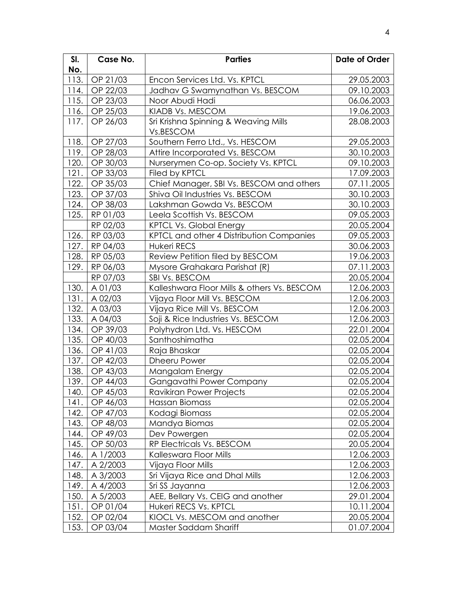| SI.  | Case No. | <b>Parties</b>                              | Date of Order |
|------|----------|---------------------------------------------|---------------|
| No.  |          |                                             |               |
| 113. | OP 21/03 | Encon Services Ltd. Vs. KPTCL               | 29.05.2003    |
| 114. | OP 22/03 | Jadhav G Swamynathan Vs. BESCOM             | 09.10.2003    |
| 115. | OP 23/03 | Noor Abudi Hadi                             | 06.06.2003    |
| 116. | OP 25/03 | KIADB Vs. MESCOM                            | 19.06.2003    |
| 117. | OP 26/03 | Sri Krishna Spinning & Weaving Mills        | 28.08.2003    |
|      |          | Vs.BESCOM                                   |               |
| 118. | OP 27/03 | Southern Ferro Ltd., Vs. HESCOM             | 29.05.2003    |
| 119. | OP 28/03 | Attire Incorporated Vs. BESCOM              | 30.10.2003    |
| 120. | OP 30/03 | Nurserymen Co-op. Society Vs. KPTCL         | 09.10.2003    |
| 121. | OP 33/03 | Filed by KPTCL                              | 17.09.2003    |
| 122. | OP 35/03 | Chief Manager, SBI Vs. BESCOM and others    | 07.11.2005    |
| 123. | OP 37/03 | Shiva Oil Industries Vs. BESCOM             | 30.10.2003    |
| 124. | OP 38/03 | Lakshman Gowda Vs. BESCOM                   | 30.10.2003    |
| 125. | RP 01/03 | Leela Scottish Vs. BESCOM                   | 09.05.2003    |
|      | RP 02/03 | <b>KPTCL Vs. Global Energy</b>              | 20.05.2004    |
| 126. | RP 03/03 | KPTCL and other 4 Distribution Companies    | 09.05.2003    |
| 127. | RP 04/03 | <b>Hukeri RECS</b>                          | 30.06.2003    |
| 128. | RP 05/03 | Review Petition filed by BESCOM             | 19.06.2003    |
| 129. | RP 06/03 | Mysore Grahakara Parishat (R)               | 07.11.2003    |
|      | RP 07/03 | SBI Vs. BESCOM                              | 20.05.2004    |
| 130. | A 01/03  | Kalleshwara Floor Mills & others Vs. BESCOM | 12.06.2003    |
| 131. | A 02/03  | Vijaya Floor Mill Vs. BESCOM                | 12.06.2003    |
| 132. | A 03/03  | Vijaya Rice Mill Vs. BESCOM                 | 12.06.2003    |
| 133. | A 04/03  | Soji & Rice Industries Vs. BESCOM           | 12.06.2003    |
| 134. | OP 39/03 | Polyhydron Ltd. Vs. HESCOM                  | 22.01.2004    |
| 135. | OP 40/03 | Santhoshimatha                              | 02.05.2004    |
| 136. | OP 41/03 | Raja Bhaskar                                | 02.05.2004    |
| 137. | OP 42/03 | Dheeru Power                                | 02.05.2004    |
| 138. | OP 43/03 | Mangalam Energy                             | 02.05.2004    |
| 139. | OP 44/03 | Gangavathi Power Company                    | 02.05.2004    |
| 140. | OP 45/03 | Ravikiran Power Projects                    | 02.05.2004    |
| 141. | OP 46/03 | Hassan Biomass                              | 02.05.2004    |
| 142. | OP 47/03 | Kodagi Biomass                              | 02.05.2004    |
| 143. | OP 48/03 | Mandya Biomas                               | 02.05.2004    |
| 144. | OP 49/03 | Dev Powergen                                | 02.05.2004    |
| 145. | OP 50/03 | RP Electricals Vs. BESCOM                   | 20.05.2004    |
| 146. | A 1/2003 | Kalleswara Floor Mills                      | 12.06.2003    |
| 147. | A 2/2003 | Vijaya Floor Mills                          | 12.06.2003    |
| 148. | A 3/2003 | Sri Vijaya Rice and Dhal Mills              | 12.06.2003    |
| 149. | A 4/2003 | Sri SS Jayanna                              | 12.06.2003    |
| 150. | A 5/2003 | AEE, Bellary Vs. CEIG and another           | 29.01.2004    |
| 151. | OP 01/04 | Hukeri RECS Vs. KPTCL                       | 10.11.2004    |
| 152. | OP 02/04 | KIOCL Vs. MESCOM and another                | 20.05.2004    |
| 153. | OP 03/04 | Master Saddam Shariff                       | 01.07.2004    |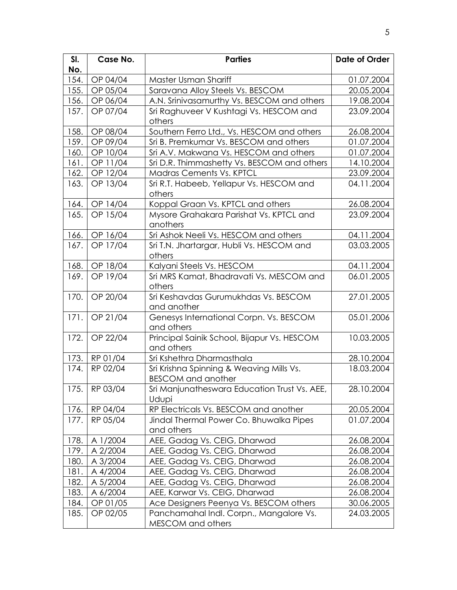| SI.  | Case No.      | <b>Parties</b>                                                            | <b>Date of Order</b> |
|------|---------------|---------------------------------------------------------------------------|----------------------|
| No.  |               |                                                                           |                      |
| 154. | OP 04/04      | Master Usman Shariff                                                      | 01.07.2004           |
| 155. | OP 05/04      | Saravana Alloy Steels Vs. BESCOM                                          | 20.05.2004           |
| 156. | OP 06/04      | A.N. Srinivasamurthy Vs. BESCOM and others                                | 19.08.2004           |
| 157. | OP 07/04      | Sri Raghuveer V Kushtagi Vs. HESCOM and                                   | 23.09.2004           |
|      |               | others                                                                    |                      |
| 158. | OP 08/04      | Southern Ferro Ltd., Vs. HESCOM and others                                | 26.08.2004           |
| 159. | OP 09/04      | Sri B. Premkumar Vs. BESCOM and others                                    | 01.07.2004           |
| 160. | OP 10/04      | Sri A.V. Makwana Vs. HESCOM and others                                    | 01.07.2004           |
| 161. | OP 11/04      | Sri D.R. Thimmashetty Vs. BESCOM and others                               | 14.10.2004           |
| 162. | OP 12/04      | Madras Cements Vs. KPTCL                                                  | 23.09.2004           |
| 163. | OP 13/04      | Sri R.T. Habeeb, Yellapur Vs. HESCOM and                                  | 04.11.2004           |
|      |               | others                                                                    |                      |
| 164. | OP 14/04      | Koppal Graan Vs. KPTCL and others                                         | 26.08.2004           |
| 165. | OP 15/04      | Mysore Grahakara Parishat Vs. KPTCL and                                   | 23.09.2004           |
|      |               | anothers                                                                  |                      |
| 166. | OP 16/04      | Sri Ashok Neeli Vs. HESCOM and others                                     | 04.11.2004           |
| 167. | OP 17/04      | Sri T.N. Jhartargar, Hubli Vs. HESCOM and                                 | 03.03.2005           |
|      |               | others                                                                    |                      |
| 168. | OP 18/04      | Kalyani Steels Vs. HESCOM                                                 | 04.11.2004           |
| 169. | OP 19/04      | Sri MRS Kamat, Bhadravati Vs. MESCOM and                                  | 06.01.2005           |
|      |               | others                                                                    |                      |
| 170. | OP 20/04      | Sri Keshavdas Gurumukhdas Vs. BESCOM                                      | 27.01.2005           |
|      |               | and another                                                               |                      |
| 171. | OP 21/04      | Genesys International Corpn. Vs. BESCOM                                   | 05.01.2006           |
|      |               | and others                                                                |                      |
| 172. | OP 22/04      | Principal Sainik School, Bijapur Vs. HESCOM                               | 10.03.2005           |
|      |               | and others                                                                |                      |
| 173. | RP 01/04      | Sri Kshethra Dharmasthala                                                 | 28.10.2004           |
| 174. | RP 02/04      | Sri Krishna Spinning & Weaving Mills Vs.                                  | 18.03.2004           |
|      | 175. RP 03/04 | <b>BESCOM and another</b><br>Sri Manjunatheswara Education Trust Vs. AEE, | 28.10.2004           |
|      |               | Udupi                                                                     |                      |
| 176. | RP 04/04      | RP Electricals Vs. BESCOM and another                                     | 20.05.2004           |
| 177. | RP 05/04      | Jindal Thermal Power Co. Bhuwalka Pipes                                   | 01.07.2004           |
|      |               | and others                                                                |                      |
| 178. | A 1/2004      | AEE, Gadag Vs. CEIG, Dharwad                                              | 26.08.2004           |
| 179. | A 2/2004      | AEE, Gadag Vs. CEIG, Dharwad                                              | 26.08.2004           |
| 180. | A 3/2004      | AEE, Gadag Vs. CEIG, Dharwad                                              | 26.08.2004           |
| 181. | A 4/2004      | AEE, Gadag Vs. CEIG, Dharwad                                              | 26.08.2004           |
| 182. | A 5/2004      | AEE, Gadag Vs. CEIG, Dharwad                                              | 26.08.2004           |
| 183. | A 6/2004      | AEE, Karwar Vs. CEIG, Dharwad                                             | 26.08.2004           |
| 184. | OP 01/05      | Ace Designers Peenya Vs. BESCOM others                                    | 30.06.2005           |
| 185. | OP 02/05      | Panchamahal Indl. Corpn., Mangalore Vs.                                   | 24.03.2005           |
|      |               | MESCOM and others                                                         |                      |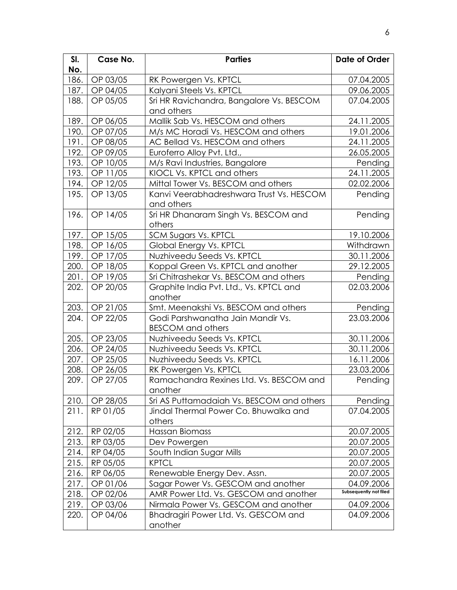| SI.  | Case No. | <b>Parties</b>                                  | Date of Order          |
|------|----------|-------------------------------------------------|------------------------|
| No.  |          |                                                 |                        |
| 186. | OP 03/05 | RK Powergen Vs. KPTCL                           | 07.04.2005             |
| 187. | OP 04/05 | Kalyani Steels Vs. KPTCL                        | 09.06.2005             |
| 188. | OP 05/05 | Sri HR Ravichandra, Bangalore Vs. BESCOM        | 07.04.2005             |
|      |          | and others                                      |                        |
| 189. | OP 06/05 | Mallik Sab Vs. HESCOM and others                | 24.11.2005             |
| 190. | OP 07/05 | M/s MC Horadi Vs. HESCOM and others             | 19.01.2006             |
| 191. | OP 08/05 | AC Bellad Vs. HESCOM and others                 | 24.11.2005             |
| 192. | OP 09/05 | Euroferro Alloy Pvt. Ltd.,                      | 26.05.2005             |
| 193. | OP 10/05 | M/s Ravi Industries, Bangalore                  | Pending                |
| 193. | OP 11/05 | KIOCL Vs. KPTCL and others                      | 24.11.2005             |
| 194. | OP 12/05 | Mittal Tower Vs. BESCOM and others              | 02.02.2006             |
| 195. | OP 13/05 | Kanvi Veerabhadreshwara Trust Vs. HESCOM        | Pending                |
|      |          | and others                                      |                        |
| 196. | OP 14/05 | Sri HR Dhanaram Singh Vs. BESCOM and            | Pending                |
|      |          | others                                          |                        |
| 197. | OP 15/05 | SCM Sugars Vs. KPTCL                            | 19.10.2006             |
| 198. | OP 16/05 | Global Energy Vs. KPTCL                         | Withdrawn              |
| 199. | OP 17/05 | Nuzhiveedu Seeds Vs. KPTCL                      | 30.11.2006             |
| 200. | OP 18/05 | Koppal Green Vs. KPTCL and another              | 29.12.2005             |
| 201. | OP 19/05 | Sri Chitrashekar Vs. BESCOM and others          | Pending                |
| 202. | OP 20/05 | Graphite India Pvt. Ltd., Vs. KPTCL and         | 02.03.2006             |
|      |          | another                                         |                        |
| 203. | OP 21/05 | Smt. Meenakshi Vs. BESCOM and others            | Pending                |
| 204. | OP 22/05 | Godi Parshwanatha Jain Mandir Vs.               | 23.03.2006             |
|      |          | <b>BESCOM</b> and others                        |                        |
| 205. | OP 23/05 | Nuzhiveedu Seeds Vs. KPTCL                      | 30.11.2006             |
| 206. | OP 24/05 | Nuzhiveedu Seeds Vs. KPTCL                      | 30.11.2006             |
| 207. | OP 25/05 | Nuzhiveedu Seeds Vs. KPTCL                      | 16.11.2006             |
| 208. | OP 26/05 | RK Powergen Vs. KPTCL                           | 23.03.2006             |
| 209. | OP 27/05 | Ramachandra Rexines Ltd. Vs. BESCOM and         | Pending                |
|      |          | another                                         |                        |
| 210. | OP 28/05 | Sri AS Puttamadaiah Vs. BESCOM and others       | Pending                |
| 211. | RP 01/05 | Jindal Thermal Power Co. Bhuwalka and           | 07.04.2005             |
|      |          | others                                          |                        |
| 212. | RP 02/05 | Hassan Biomass                                  | 20.07.2005             |
| 213. | RP 03/05 | Dev Powergen                                    | 20.07.2005             |
| 214. | RP 04/05 | South Indian Sugar Mills                        | 20.07.2005             |
| 215. | RP 05/05 | <b>KPTCL</b>                                    | 20.07.2005             |
| 216. | RP 06/05 | Renewable Energy Dev. Assn.                     | 20.07.2005             |
| 217. | OP 01/06 | Sagar Power Vs. GESCOM and another              | 04.09.2006             |
| 218. | OP 02/06 | AMR Power Ltd. Vs. GESCOM and another           | Subsequently not filed |
| 219. | OP 03/06 | Nirmala Power Vs. GESCOM and another            | 04.09.2006             |
| 220. | OP 04/06 | Bhadragiri Power Ltd. Vs. GESCOM and<br>another | 04.09.2006             |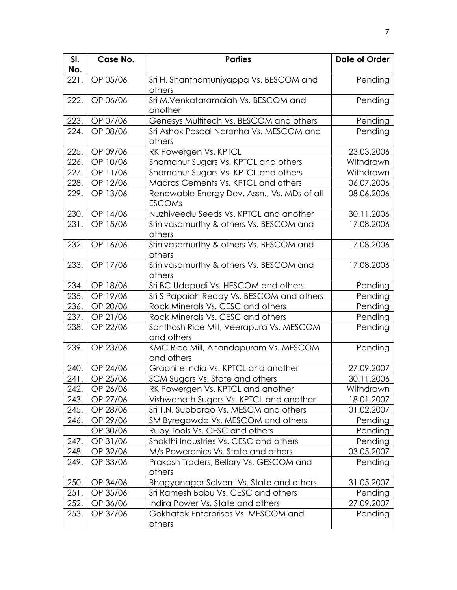| SI.<br>No. | Case No. | <b>Parties</b>                                               | Date of Order |
|------------|----------|--------------------------------------------------------------|---------------|
| 221.       | OP 05/06 | Sri H. Shanthamuniyappa Vs. BESCOM and<br>others             | Pending       |
| 222.       | OP 06/06 | Sri M.Venkataramaiah Vs. BESCOM and<br>another               | Pending       |
| 223.       | OP 07/06 | Genesys Multitech Vs. BESCOM and others                      | Pending       |
| 224.       | OP 08/06 | Sri Ashok Pascal Naronha Vs. MESCOM and<br>others            | Pending       |
| 225.       | OP 09/06 | RK Powergen Vs. KPTCL                                        | 23.03.2006    |
| 226.       | OP 10/06 | Shamanur Sugars Vs. KPTCL and others                         | Withdrawn     |
| 227.       | OP 11/06 | Shamanur Sugars Vs. KPTCL and others                         | Withdrawn     |
| 228.       | OP 12/06 | Madras Cements Vs. KPTCL and others                          | 06.07.2006    |
| 229.       | OP 13/06 | Renewable Energy Dev. Assn., Vs. MDs of all<br><b>ESCOMs</b> | 08.06.2006    |
| 230.       | OP 14/06 | Nuzhiveedu Seeds Vs. KPTCL and another                       | 30.11.2006    |
| 231.       | OP 15/06 | Srinivasamurthy & others Vs. BESCOM and<br>others            | 17.08.2006    |
| 232.       | OP 16/06 | Srinivasamurthy & others Vs. BESCOM and<br>others            | 17.08.2006    |
| 233.       | OP 17/06 | Srinivasamurthy & others Vs. BESCOM and<br>others            | 17.08.2006    |
| 234.       | OP 18/06 | Sri BC Udapudi Vs. HESCOM and others                         | Pending       |
| 235.       | OP 19/06 | Sri S Papaiah Reddy Vs. BESCOM and others                    | Pending       |
| 236.       | OP 20/06 | Rock Minerals Vs. CESC and others                            | Pending       |
| 237.       | OP 21/06 | Rock Minerals Vs. CESC and others                            | Pending       |
| 238.       | OP 22/06 | Santhosh Rice Mill, Veerapura Vs. MESCOM<br>and others       | Pending       |
| 239.       | OP 23/06 | KMC Rice Mill, Anandapuram Vs. MESCOM<br>and others          | Pending       |
| 240.       | OP 24/06 | Graphite India Vs. KPTCL and another                         | 27.09.2007    |
| 241.       | OP 25/06 | SCM Sugars Vs. State and others                              | 30.11.2006    |
| 242.       | OP 26/06 | RK Powergen Vs. KPTCL and another                            | Withdrawn     |
| 243.       | OP 27/06 | Vishwanath Sugars Vs. KPTCL and another                      | 18.01.2007    |
| 245.       | OP 28/06 | Sri T.N. Subbarao Vs. MESCM and others                       | 01.02.2007    |
| 246.       | OP 29/06 | SM Byregowda Vs. MESCOM and others                           | Pending       |
|            | OP 30/06 | Ruby Tools Vs. CESC and others                               | Pending       |
| 247.       | OP 31/06 | Shakthi Industries Vs. CESC and others                       | Pending       |
| 248.       | OP 32/06 | M/s Poweronics Vs. State and others                          | 03.05.2007    |
| 249.       | OP 33/06 | Prakash Traders, Bellary Vs. GESCOM and<br>others            | Pending       |
| 250.       | OP 34/06 | Bhagyanagar Solvent Vs. State and others                     | 31.05.2007    |
| 251.       | OP 35/06 | Sri Ramesh Babu Vs. CESC and others                          | Pending       |
| 252.       | OP 36/06 | Indira Power Vs. State and others                            | 27.09.2007    |
| 253.       | OP 37/06 | Gokhatak Enterprises Vs. MESCOM and<br>others                | Pending       |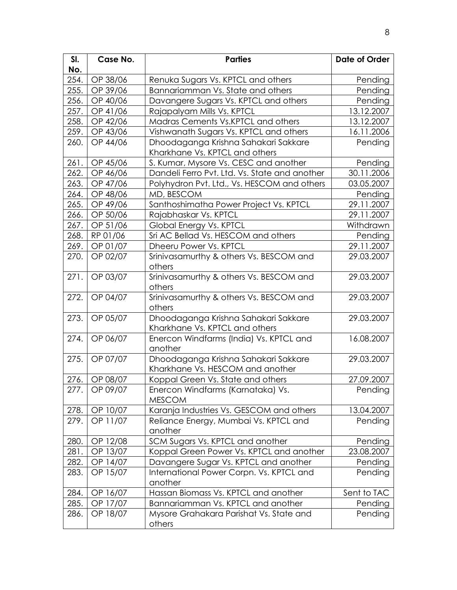| SI.   | Case No. | <b>Parties</b>                                   | Date of Order |
|-------|----------|--------------------------------------------------|---------------|
| No.   |          |                                                  |               |
| 254.  | OP 38/06 | Renuka Sugars Vs. KPTCL and others               | Pending       |
| 255.  | OP 39/06 | Bannariamman Vs. State and others                | Pending       |
| 256.  | OP 40/06 | Davangere Sugars Vs. KPTCL and others            | Pending       |
| 257.  | OP 41/06 | Rajapalyam Mills Vs. KPTCL                       | 13.12.2007    |
| 258.  | OP 42/06 | Madras Cements Vs.KPTCL and others               | 13.12.2007    |
| 259.  | OP 43/06 | Vishwanath Sugars Vs. KPTCL and others           | 16.11.2006    |
| 260.  | OP 44/06 | Dhoodaganga Krishna Sahakari Sakkare             | Pending       |
|       |          | Kharkhane Vs. KPTCL and others                   |               |
| 261.  | OP 45/06 | S. Kumar, Mysore Vs. CESC and another            | Pending       |
| 262.  | OP 46/06 | Dandeli Ferro Pvt. Ltd. Vs. State and another    | 30.11.2006    |
| 263.  | OP 47/06 | Polyhydron Pvt. Ltd., Vs. HESCOM and others      | 03.05.2007    |
| 264.  | OP 48/06 | MD, BESCOM                                       | Pending       |
| 265.  | OP 49/06 | Santhoshimatha Power Project Vs. KPTCL           | 29.11.2007    |
| 266.  | OP 50/06 | Rajabhaskar Vs. KPTCL                            | 29.11.2007    |
| 267.  | OP 51/06 | Global Energy Vs. KPTCL                          | Withdrawn     |
| 268.  | RP 01/06 | Sri AC Bellad Vs. HESCOM and others              | Pending       |
| 269.  | OP 01/07 | Dheeru Power Vs. KPTCL                           | 29.11.2007    |
| 270.  | OP 02/07 | Srinivasamurthy & others Vs. BESCOM and          | 29.03.2007    |
|       |          | others                                           |               |
| 271.  | OP 03/07 | Srinivasamurthy & others Vs. BESCOM and          | 29.03.2007    |
|       |          | others                                           |               |
| 272.  | OP 04/07 | Srinivasamurthy & others Vs. BESCOM and          | 29.03.2007    |
|       |          | others                                           |               |
| 273.  | OP 05/07 | Dhoodaganga Krishna Sahakari Sakkare             | 29.03.2007    |
|       |          | Kharkhane Vs. KPTCL and others                   |               |
| 274.  | OP 06/07 | Enercon Windfarms (India) Vs. KPTCL and          | 16.08.2007    |
|       |          | another                                          |               |
| 275.  | OP 07/07 | Dhoodaganga Krishna Sahakari Sakkare             | 29.03.2007    |
|       |          | Kharkhane Vs. HESCOM and another                 |               |
| 276.  | OP 08/07 | Koppal Green Vs. State and others                | 27.09.2007    |
| 277.1 | OP 09/07 | Enercon Windfarms (Karnataka) Vs.                | Pending       |
|       |          | <b>MESCOM</b>                                    |               |
| 278.  | OP 10/07 | Karanja Industries Vs. GESCOM and others         | 13.04.2007    |
| 279.  | OP 11/07 | Reliance Energy, Mumbai Vs. KPTCL and<br>another | Pending       |
| 280.  | OP 12/08 | SCM Sugars Vs. KPTCL and another                 | Pending       |
| 281.  | OP 13/07 | Koppal Green Power Vs. KPTCL and another         | 23.08.2007    |
| 282.  | OP 14/07 | Davangere Sugar Vs. KPTCL and another            | Pending       |
| 283.  | OP 15/07 | International Power Corpn. Vs. KPTCL and         | Pending       |
|       |          | another                                          |               |
| 284.  | OP 16/07 | Hassan Biomass Vs. KPTCL and another             | Sent to TAC   |
| 285.  | OP 17/07 | Bannariamman Vs. KPTCL and another               | Pending       |
| 286.  | OP 18/07 | Mysore Grahakara Parishat Vs. State and          | Pending       |
|       |          | others                                           |               |